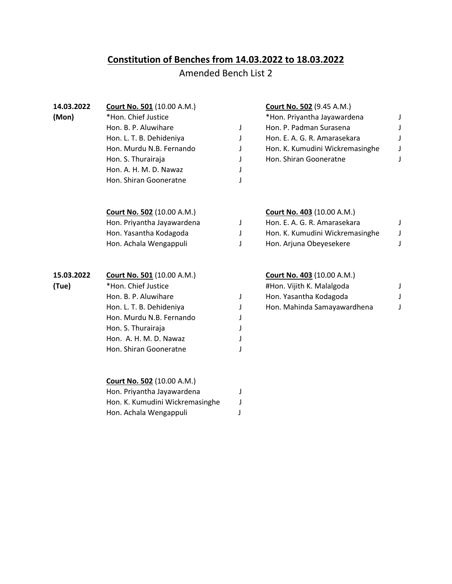## **Constitution of Benches from 14.03.2022 to 18.03.2022**

## Amended Bench List 2

| 14.03.2022 | <b>Court No. 501 (10.00 A.M.)</b> |   | <b>Court No. 502 (9.45 A.M.)</b>  |   |
|------------|-----------------------------------|---|-----------------------------------|---|
| (Mon)      | *Hon. Chief Justice               |   | *Hon. Priyantha Jayawardena       | J |
|            | Hon. B. P. Aluwihare              | J | Hon. P. Padman Surasena           | J |
|            | Hon. L. T. B. Dehideniya          | J | Hon. E. A. G. R. Amarasekara      | J |
|            | Hon. Murdu N.B. Fernando          | J | Hon. K. Kumudini Wickremasinghe   | J |
|            | Hon. S. Thurairaja                | J | Hon. Shiran Gooneratne            | J |
|            | Hon. A. H. M. D. Nawaz            | J |                                   |   |
|            | Hon. Shiran Gooneratne            | J |                                   |   |
|            | <b>Court No. 502 (10.00 A.M.)</b> |   | <b>Court No. 403 (10.00 A.M.)</b> |   |
|            | Hon. Priyantha Jayawardena        | J | Hon. E. A. G. R. Amarasekara      | J |
|            | Hon. Yasantha Kodagoda            | J | Hon. K. Kumudini Wickremasinghe   | J |
|            | Hon. Achala Wengappuli            | J | Hon. Arjuna Obeyesekere           | J |
| 15.03.2022 | <b>Court No. 501 (10.00 A.M.)</b> |   | <b>Court No. 403 (10.00 A.M.)</b> |   |
| (Tue)      | *Hon. Chief Justice               |   | #Hon. Vijith K. Malalgoda         | J |
|            | Hon. B. P. Aluwihare              | J | Hon. Yasantha Kodagoda            | J |
|            | Hon. L. T. B. Dehideniya          | J | Hon. Mahinda Samayawardhena       | J |
|            | Hon. Murdu N.B. Fernando          | J |                                   |   |
|            | Hon. S. Thurairaja                |   |                                   |   |
|            | Hon. A. H. M. D. Nawaz            |   |                                   |   |
|            | Hon. Shiran Gooneratne            |   |                                   |   |
|            | <b>Court No. 502 (10.00 A.M.)</b> |   |                                   |   |
|            | Hon. Priyantha Jayawardena        | J |                                   |   |
|            | Hon. K. Kumudini Wickremasinghe   | J |                                   |   |
|            | Hon. Achala Wengappuli            | J |                                   |   |